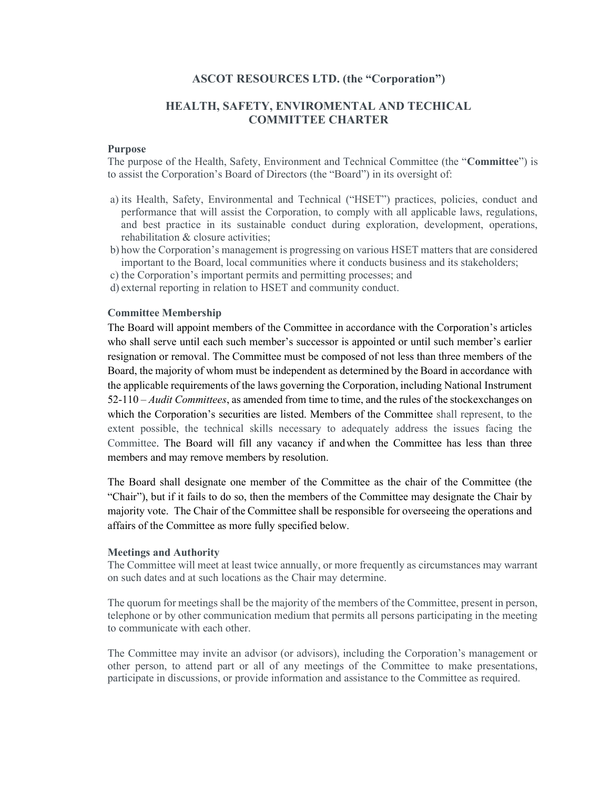## ASCOT RESOURCES LTD. (the "Corporation")

# HEALTH, SAFETY, ENVIROMENTAL AND TECHICAL COMMITTEE CHARTER

#### Purpose

The purpose of the Health, Safety, Environment and Technical Committee (the "Committee") is to assist the Corporation's Board of Directors (the "Board") in its oversight of:

- a) its Health, Safety, Environmental and Technical ("HSET") practices, policies, conduct and performance that will assist the Corporation, to comply with all applicable laws, regulations, and best practice in its sustainable conduct during exploration, development, operations, rehabilitation & closure activities;
- b) how the Corporation's management is progressing on various HSET matters that are considered important to the Board, local communities where it conducts business and its stakeholders;
- c) the Corporation's important permits and permitting processes; and
- d) external reporting in relation to HSET and community conduct.

#### Committee Membership

The Board will appoint members of the Committee in accordance with the Corporation's articles who shall serve until each such member's successor is appointed or until such member's earlier resignation or removal. The Committee must be composed of not less than three members of the Board, the majority of whom must be independent as determined by the Board in accordance with the applicable requirements of the laws governing the Corporation, including National Instrument  $52-110 - \text{Audit Committees}$ , as amended from time to time, and the rules of the stock exchanges on which the Corporation's securities are listed. Members of the Committee shall represent, to the extent possible, the technical skills necessary to adequately address the issues facing the Committee. The Board will fill any vacancy if and when the Committee has less than three members and may remove members by resolution.

The Board shall designate one member of the Committee as the chair of the Committee (the "Chair"), but if it fails to do so, then the members of the Committee may designate the Chair by majority vote. The Chair of the Committee shall be responsible for overseeing the operations and affairs of the Committee as more fully specified below.

#### Meetings and Authority

The Committee will meet at least twice annually, or more frequently as circumstances may warrant on such dates and at such locations as the Chair may determine.

The quorum for meetings shall be the majority of the members of the Committee, present in person, telephone or by other communication medium that permits all persons participating in the meeting to communicate with each other.

The Committee may invite an advisor (or advisors), including the Corporation's management or other person, to attend part or all of any meetings of the Committee to make presentations, participate in discussions, or provide information and assistance to the Committee as required.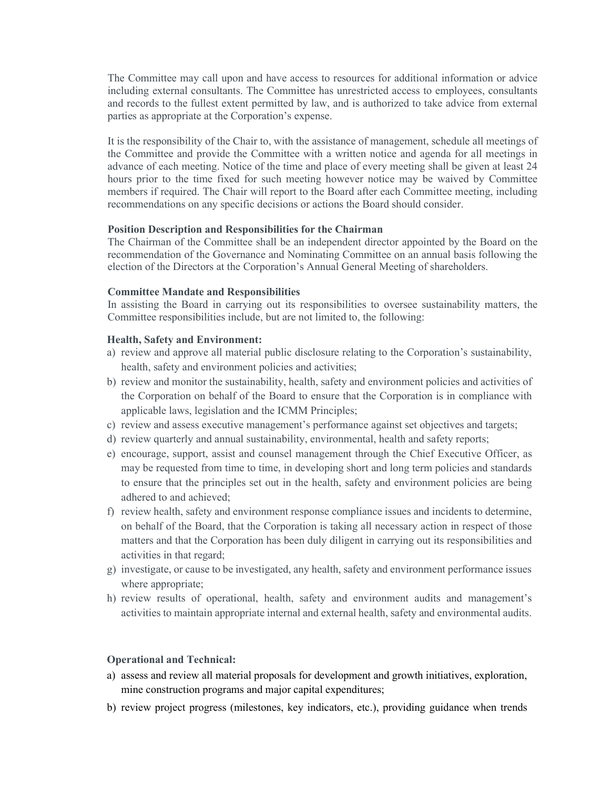The Committee may call upon and have access to resources for additional information or advice including external consultants. The Committee has unrestricted access to employees, consultants and records to the fullest extent permitted by law, and is authorized to take advice from external parties as appropriate at the Corporation's expense.

It is the responsibility of the Chair to, with the assistance of management, schedule all meetings of the Committee and provide the Committee with a written notice and agenda for all meetings in advance of each meeting. Notice of the time and place of every meeting shall be given at least 24 hours prior to the time fixed for such meeting however notice may be waived by Committee members if required. The Chair will report to the Board after each Committee meeting, including recommendations on any specific decisions or actions the Board should consider.

# Position Description and Responsibilities for the Chairman

The Chairman of the Committee shall be an independent director appointed by the Board on the recommendation of the Governance and Nominating Committee on an annual basis following the election of the Directors at the Corporation's Annual General Meeting of shareholders.

### Committee Mandate and Responsibilities

In assisting the Board in carrying out its responsibilities to oversee sustainability matters, the Committee responsibilities include, but are not limited to, the following:

### Health, Safety and Environment:

- a) review and approve all material public disclosure relating to the Corporation's sustainability, health, safety and environment policies and activities;
- b) review and monitor the sustainability, health, safety and environment policies and activities of the Corporation on behalf of the Board to ensure that the Corporation is in compliance with applicable laws, legislation and the ICMM Principles;
- c) review and assess executive management's performance against set objectives and targets;
- d) review quarterly and annual sustainability, environmental, health and safety reports;
- e) encourage, support, assist and counsel management through the Chief Executive Officer, as may be requested from time to time, in developing short and long term policies and standards to ensure that the principles set out in the health, safety and environment policies are being adhered to and achieved;
- f) review health, safety and environment response compliance issues and incidents to determine, on behalf of the Board, that the Corporation is taking all necessary action in respect of those matters and that the Corporation has been duly diligent in carrying out its responsibilities and activities in that regard;
- g) investigate, or cause to be investigated, any health, safety and environment performance issues where appropriate;
- h) review results of operational, health, safety and environment audits and management's activities to maintain appropriate internal and external health, safety and environmental audits.

#### Operational and Technical:

- a) assess and review all material proposals for development and growth initiatives, exploration, mine construction programs and major capital expenditures;
- b) review project progress (milestones, key indicators, etc.), providing guidance when trends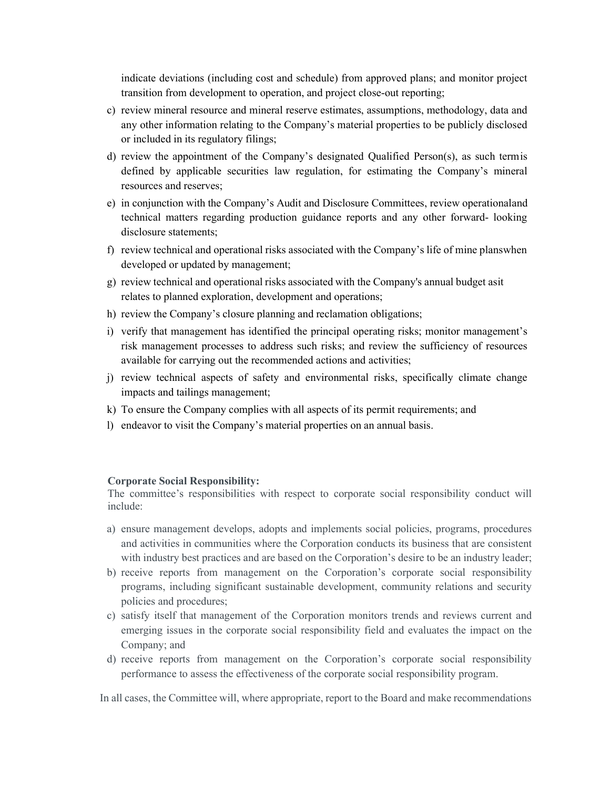indicate deviations (including cost and schedule) from approved plans; and monitor project transition from development to operation, and project close-out reporting;

- c) review mineral resource and mineral reserve estimates, assumptions, methodology, data and any other information relating to the Company's material properties to be publicly disclosed or included in its regulatory filings;
- d) review the appointment of the Company's designated Qualified Person(s), as such term is defined by applicable securities law regulation, for estimating the Company's mineral resources and reserves;
- e) in conjunction with the Company's Audit and Disclosure Committees, review operational and technical matters regarding production guidance reports and any other forward- looking disclosure statements;
- f) review technical and operational risks associated with the Company's life of mine plans when developed or updated by management;
- g) review technical and operational risks associated with the Company's annual budget as it relates to planned exploration, development and operations;
- h) review the Company's closure planning and reclamation obligations;
- i) verify that management has identified the principal operating risks; monitor management's risk management processes to address such risks; and review the sufficiency of resources available for carrying out the recommended actions and activities;
- j) review technical aspects of safety and environmental risks, specifically climate change impacts and tailings management;
- k) To ensure the Company complies with all aspects of its permit requirements; and
- l) endeavor to visit the Company's material properties on an annual basis.

#### Corporate Social Responsibility:

The committee's responsibilities with respect to corporate social responsibility conduct will include:

- a) ensure management develops, adopts and implements social policies, programs, procedures and activities in communities where the Corporation conducts its business that are consistent with industry best practices and are based on the Corporation's desire to be an industry leader;
- b) receive reports from management on the Corporation's corporate social responsibility programs, including significant sustainable development, community relations and security policies and procedures;
- c) satisfy itself that management of the Corporation monitors trends and reviews current and emerging issues in the corporate social responsibility field and evaluates the impact on the Company; and
- d) receive reports from management on the Corporation's corporate social responsibility performance to assess the effectiveness of the corporate social responsibility program.

In all cases, the Committee will, where appropriate, report to the Board and make recommendations